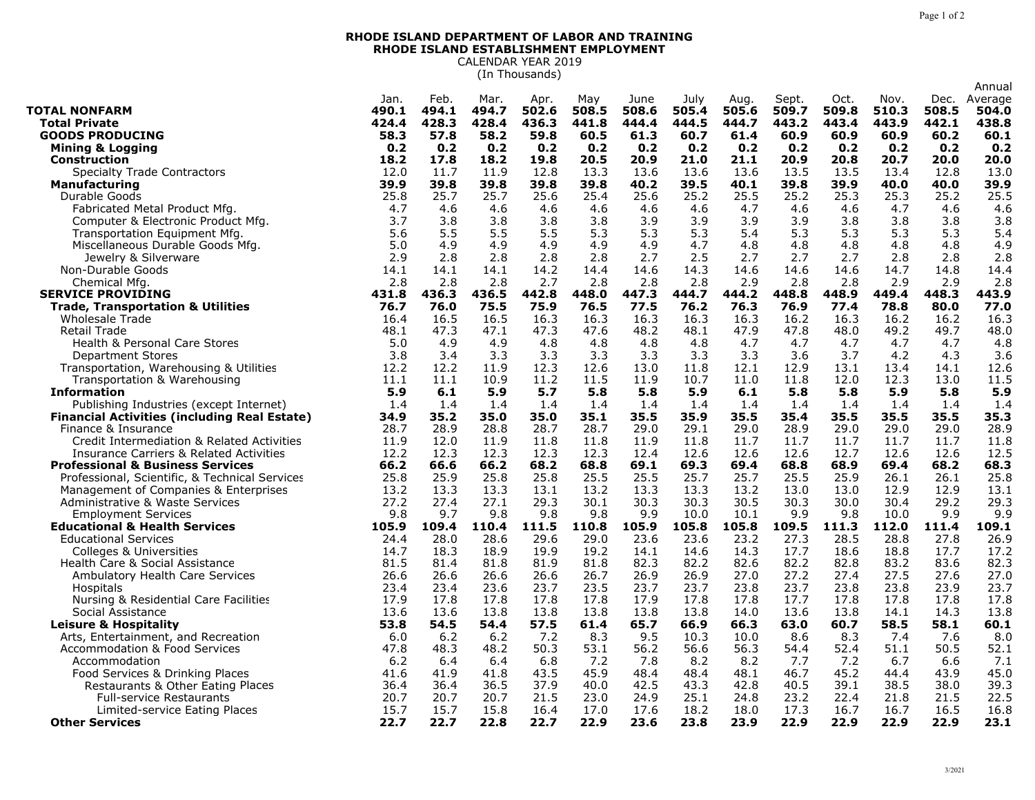## **RHODE ISLAND DEPARTMENT OF LABOR AND TRAINING RHODE ISLAND ESTABLISHMENT EMPLOYMENT** CALENDAR YEAR 2019

(In Thousands)

| Jan.<br>Feb.<br>Mar.<br>May<br>July<br>Sept.<br>Nov.<br>Dec.<br>Average<br>Apr.<br>June<br>Aug.<br>494.1<br>494.7<br>502.6<br>508.5<br>509.7<br>504.0<br><b>TOTAL NONFARM</b><br>490.1<br>508.6<br>505.4<br>505.6<br>509.8<br>510.3<br>508.5<br>428.3<br>428.4<br>443.4<br>443.9<br><b>Total Private</b><br>424.4<br>436.3<br>441.8<br>444.4<br>444.5<br>444.7<br>443.2<br>442.1<br>438.8<br>57.8<br>58.2<br>59.8<br>60.2<br>60.1<br><b>GOODS PRODUCING</b><br>58.3<br>60.5<br>61.3<br>60.7<br>61.4<br>60.9<br>60.9<br>60.9<br>0.2<br>0.2<br>0.2<br>0.2<br>0.2<br>0.2<br><b>Mining &amp; Logging</b><br>0.2<br>0.2<br>0.2<br>0.2<br>0.2<br>0.2<br>0.2<br>18.2<br>17.8<br>18.2<br>19.8<br>20.5<br>20.9<br>21.0<br>20.9<br>20.8<br>20.7<br>20.0<br>20.0<br><b>Construction</b><br>21.1<br>13.0<br><b>Specialty Trade Contractors</b><br>12.0<br>11.7<br>11.9<br>12.8<br>13.3<br>13.6<br>13.6<br>13.6<br>13.5<br>13.5<br>13.4<br>12.8<br>39.9<br>40.2<br>39.9<br>39.9<br><b>Manufacturing</b><br>39.8<br>39.8<br>39.8<br>39.8<br>39.5<br>40.1<br>39.8<br>40.0<br>40.0<br>25.5<br>25.8<br>25.7<br>25.7<br>25.6<br>25.4<br>25.6<br>25.2<br>25.5<br>25.2<br>25.3<br>25.3<br>25.2<br>Durable Goods<br>4.7<br>Fabricated Metal Product Mfg.<br>4.7<br>4.6<br>4.6<br>4.6<br>4.6<br>4.6<br>4.6<br>4.7<br>4.6<br>4.6<br>4.6<br>4.6<br>3.9<br>3.9<br>3.9<br>3.9<br>3.8<br>Computer & Electronic Product Mfg.<br>3.7<br>3.8<br>3.8<br>3.8<br>3.8<br>3.8<br>3.8<br>3.8<br>5.6<br>5.5<br>5.5<br>5.5<br>5.3<br>5.3<br>5.3<br>5.4<br>5.3<br>5.3<br>5.3<br>5.3<br>5.4<br>Transportation Equipment Mfg.<br>Miscellaneous Durable Goods Mfg.<br>5.0<br>4.9<br>4.9<br>4.9<br>4.9<br>4.9<br>4.7<br>4.8<br>4.8<br>4.8<br>4.8<br>4.8<br>4.9<br>2.9<br>2.5<br>2.8<br>2.8<br>2.8<br>2.8<br>2.7<br>2.7<br>2.7<br>2.7<br>2.8<br>2.8<br>2.8<br>Jewelry & Silverware<br>14.1<br>14.1<br>14.2<br>14.6<br>14.3<br>14.6<br>14.6<br>14.7<br>14.8<br>14.4<br>Non-Durable Goods<br>14.1<br>14.4<br>14.6<br>2.8<br>2.8<br>2.8<br>2.8<br>2.7<br>2.8<br>2.8<br>2.8<br>2.9<br>2.8<br>2.8<br>2.9<br>2.9<br>Chemical Mfg<br>436.3<br>436.5<br>442.8<br>448.0<br>447.3<br>448.8<br>448.9<br>448.3<br>443.9<br><b>SERVICE PROVIDING</b><br>431.8<br>444.7<br>444.2<br>449.4<br>76.0<br>75.5<br>75.9<br>76.5<br>77.5<br>76.2<br>76.3<br>76.9<br>77.4<br>78.8<br>80.0<br>77.0<br><b>Trade, Transportation &amp; Utilities</b><br>76.7<br>16.3<br>16.3<br>16.3<br>16.3<br>16.2<br>16.3<br>16.3<br><b>Wholesale Trade</b><br>16.4<br>16.5<br>16.5<br>16.3<br>16.2<br>16.2<br>47.8<br>49.2<br>47.3<br>47.1<br>47.3<br>47.6<br>48.2<br>48.1<br>47.9<br>48.0<br>49.7<br>48.0<br>Retail Trade<br>48.1<br><b>Health &amp; Personal Care Stores</b><br>5.0<br>4.9<br>4.9<br>4.8<br>4.7<br>4.8<br>4.8<br>4.8<br>4.7<br>4.7<br>4.7<br>4.7<br>4.8<br>3.8<br>3.4<br>3.3<br>3.3<br>3.3<br>3.3<br>3.3<br>3.3<br>3.6<br>3.7<br>4.2<br>4.3<br>3.6<br><b>Department Stores</b><br>12.2<br>12.2<br>11.9<br>12.6<br>13.0<br>11.8<br>13.1<br>13.4<br>Transportation, Warehousing & Utilities<br>12.3<br>12.1<br>12.9<br>14.1<br>12.6<br>11.2<br>11.5<br>10.7<br>12.0<br>12.3<br>11.5<br>Transportation & Warehousing<br>11.1<br>11.1<br>10.9<br>11.9<br>11.0<br>11.8<br>13.0<br>5.9<br>5.7<br>5.8<br>5.8<br>5.9<br>5.8<br>5.8<br>5.9<br>5.8<br>5.9<br><b>Information</b><br>5.9<br>6.1<br>6.1<br>Publishing Industries (except Internet)<br>1.4<br>1.4<br>1.4<br>1.4<br>1.4<br>1.4<br>1.4<br>1.4<br>1.4<br>1.4<br>1.4<br>1.4<br>1.4<br>35.2<br>35.0<br>35.0<br>35.1<br>35.5<br>35.9<br>35.5<br>35.4<br>35.5<br>35.5<br>35.5<br>35.3<br><b>Financial Activities (including Real Estate)</b><br>34.9<br>28.9<br>28.7<br>28.7<br>29.0<br>29.1<br>29.0<br>28.9<br>29.0<br>29.0<br>29.0<br>28.9<br>Finance & Insurance<br>28.7<br>28.8<br>11.8<br>Credit Intermediation & Related Activities<br>11.9<br>12.0<br>11.9<br>11.8<br>11.8<br>11.9<br>11.8<br>11.7<br>11.7<br>11.7<br>11.7<br>11.7<br>12.2<br>12.3<br>12.3<br>12.3<br>12.4<br>12.6<br>12.6<br>12.6<br>12.7<br>12.6<br>Insurance Carriers & Related Activities<br>12.3<br>12.6<br>12.5<br>66.2<br>68.2<br>68.8<br>69.1<br>69.3<br>69.4<br>68.8<br>68.9<br>69.4<br>68.2<br>68.3<br><b>Professional &amp; Business Services</b><br>66.6<br>66.2<br>25.8<br>25.9<br>25.8<br>25.8<br>25.5<br>25.5<br>25.7<br>25.7<br>25.5<br>25.9<br>26.1<br>26.1<br>25.8<br>Professional, Scientific, & Technical Services<br>13.3<br>13.2<br>13.3<br>13.3<br>13.1<br>13.2<br>13.3<br>13.2<br>13.0<br>13.0<br>12.9<br>12.9<br>13.1<br>Management of Companies & Enterprises<br>27.2<br>27.4<br>27.1<br>29.3<br>30.1<br>30.3<br>30.3<br>30.5<br>30.3<br>30.0<br>30.4<br>29.2<br>29.3<br>Administrative & Waste Services<br>9.8<br>9.9<br>9.8<br>9.7<br>9.8<br>9.8<br>9.9<br>10.0<br>9.9<br>9.8<br>10.0<br>9.9<br><b>Employment Services</b><br>10.1<br>111.5<br>105.8<br>105.8<br><b>Educational &amp; Health Services</b><br>105.9<br>109.4<br>110.4<br>110.8<br>105.9<br>109.5<br>111.3<br>112.0<br>111.4<br>109.1<br>27.8<br><b>Educational Services</b><br>24.4<br>28.0<br>28.6<br>29.6<br>29.0<br>23.6<br>23.6<br>23.2<br>27.3<br>28.5<br>28.8<br>26.9<br>18.3<br>18.9<br>19.9<br>19.2<br>14.3<br>17.7<br>18.6<br>18.8<br>17.7<br>17.2<br><b>Colleges &amp; Universities</b><br>14.7<br>14.1<br>14.6<br>82.3<br>81.5<br>81.4<br>81.8<br>81.9<br>81.8<br>82.2<br>82.6<br>82.2<br>82.8<br>83.2<br>83.6<br>82.3<br>Health Care & Social Assistance<br>26.6<br>26.6<br>26.6<br>26.6<br>26.7<br>26.9<br>26.9<br>27.0<br>27.2<br>27.4<br>27.5<br>27.6<br>27.0<br>Ambulatory Health Care Services<br>23.4<br>23.6<br>23.7<br>23.5<br>23.7<br>23.7<br>23.8<br>23.7<br>23.8<br>23.8<br>23.9<br>23.7<br>23.4<br>Hospitals<br>17.9<br>17.8<br>17.8<br>17.8<br>17.8<br>17.9<br>17.8<br>17.8<br>17.7<br>17.8<br>17.8<br>17.8<br>17.8<br>Nursing & Residential Care Facilities<br>13.6<br>13.8<br>13.8<br>13.8<br>13.8<br>13.8<br>14.0<br>13.6<br>13.8<br>14.1<br>14.3<br>13.8<br>Social Assistance<br>13.6<br>54.5<br>57.5<br>65.7<br>60.7<br>60.1<br>53.8<br>54.4<br>61.4<br>66.9<br>66.3<br>63.0<br>58.5<br>58.1<br>Leisure & Hospitality<br>6.2<br>8.3<br>9.5<br>10.3<br>8.6<br>8.3<br>8.0<br>Arts, Entertainment, and Recreation<br>6.0<br>6.2<br>7.2<br>10.0<br>7.4<br>7.6<br>52.4<br>52.1<br><b>Accommodation &amp; Food Services</b><br>47.8<br>48.3<br>48.2<br>50.3<br>53.1<br>56.2<br>56.6<br>56.3<br>54.4<br>51.1<br>50.5<br>7.2<br>8.2<br>7.7<br>7.2<br>6.7<br>6.6<br>7.1<br>6.2<br>6.4<br>6.4<br>6.8<br>7.8<br>8.2<br>Accommodation<br>41.9<br>41.8<br>43.5<br>45.9<br>48.4<br>48.4<br>48.1<br>46.7<br>45.2<br>43.9<br>45.0<br>Food Services & Drinking Places<br>41.6<br>44.4<br>Restaurants & Other Eating Places<br>36.4<br>36.4<br>36.5<br>37.9<br>40.0<br>42.5<br>43.3<br>42.8<br>40.5<br>39.1<br>38.5<br>38.0<br>39.3<br>20.7<br>20.7<br>20.7<br>21.5<br>23.0<br>24.9<br>25.1<br>24.8<br>23.2<br>22.4<br>21.8<br>21.5<br>22.5<br><b>Full-service Restaurants</b><br>15.7<br>15.7<br>15.8<br>16.4<br>17.0<br>17.6<br>18.2<br>18.0<br>17.3<br>16.7<br>16.7<br>16.5<br>16.8<br>Limited-service Eating Places<br>22.7<br>22.7<br>22.8<br>22.7<br>22.9<br>23.6<br>23.8<br>23.9<br>22.9<br>22.9<br>22.9<br>22.9<br>23.1<br><b>Other Services</b> |  |  |  |  |  |      |  | Annual |
|--------------------------------------------------------------------------------------------------------------------------------------------------------------------------------------------------------------------------------------------------------------------------------------------------------------------------------------------------------------------------------------------------------------------------------------------------------------------------------------------------------------------------------------------------------------------------------------------------------------------------------------------------------------------------------------------------------------------------------------------------------------------------------------------------------------------------------------------------------------------------------------------------------------------------------------------------------------------------------------------------------------------------------------------------------------------------------------------------------------------------------------------------------------------------------------------------------------------------------------------------------------------------------------------------------------------------------------------------------------------------------------------------------------------------------------------------------------------------------------------------------------------------------------------------------------------------------------------------------------------------------------------------------------------------------------------------------------------------------------------------------------------------------------------------------------------------------------------------------------------------------------------------------------------------------------------------------------------------------------------------------------------------------------------------------------------------------------------------------------------------------------------------------------------------------------------------------------------------------------------------------------------------------------------------------------------------------------------------------------------------------------------------------------------------------------------------------------------------------------------------------------------------------------------------------------------------------------------------------------------------------------------------------------------------------------------------------------------------------------------------------------------------------------------------------------------------------------------------------------------------------------------------------------------------------------------------------------------------------------------------------------------------------------------------------------------------------------------------------------------------------------------------------------------------------------------------------------------------------------------------------------------------------------------------------------------------------------------------------------------------------------------------------------------------------------------------------------------------------------------------------------------------------------------------------------------------------------------------------------------------------------------------------------------------------------------------------------------------------------------------------------------------------------------------------------------------------------------------------------------------------------------------------------------------------------------------------------------------------------------------------------------------------------------------------------------------------------------------------------------------------------------------------------------------------------------------------------------------------------------------------------------------------------------------------------------------------------------------------------------------------------------------------------------------------------------------------------------------------------------------------------------------------------------------------------------------------------------------------------------------------------------------------------------------------------------------------------------------------------------------------------------------------------------------------------------------------------------------------------------------------------------------------------------------------------------------------------------------------------------------------------------------------------------------------------------------------------------------------------------------------------------------------------------------------------------------------------------------------------------------------------------------------------------------------------------------------------------------------------------------------------------------------------------------------------------------------------------------------------------------------------------------------------------------------------------------------------------------------------------------------------------------------------------------------------------------------------------------------------------------------------------------------------------------------------------------------------------------------------------------------------------------------------------------------------------------------------------------------------------------------------------------------------------------------------------------------------------------------------------------------------------------------------------------------------------------------------------------------------------------------------------------------------------------------------------------------------------------------------------------------------------------------------------------------------------------------------------------------------------------------------------------------------------------------------------------------------------------------------------------------------------------------------------------------------------------------------------------------------------------------------------------------------------------------------------------------------------------------------------------------------------------------------------------------------------------------------------------------------------------------------------------------------------------------------------------------------------------------------------------------------------------------------------------------------------------------------------|--|--|--|--|--|------|--|--------|
|                                                                                                                                                                                                                                                                                                                                                                                                                                                                                                                                                                                                                                                                                                                                                                                                                                                                                                                                                                                                                                                                                                                                                                                                                                                                                                                                                                                                                                                                                                                                                                                                                                                                                                                                                                                                                                                                                                                                                                                                                                                                                                                                                                                                                                                                                                                                                                                                                                                                                                                                                                                                                                                                                                                                                                                                                                                                                                                                                                                                                                                                                                                                                                                                                                                                                                                                                                                                                                                                                                                                                                                                                                                                                                                                                                                                                                                                                                                                                                                                                                                                                                                                                                                                                                                                                                                                                                                                                                                                                                                                                                                                                                                                                                                                                                                                                                                                                                                                                                                                                                                                                                                                                                                                                                                                                                                                                                                                                                                                                                                                                                                                                                                                                                                                                                                                                                                                                                                                                                                                                                                                                                                                                                                                                                                                                                                                                                                                                                                                                                                                                                                                                                                                                                                                                                                                                                                                                                                                                                                                                                                                                                                                                                                                                    |  |  |  |  |  | Oct. |  |        |
|                                                                                                                                                                                                                                                                                                                                                                                                                                                                                                                                                                                                                                                                                                                                                                                                                                                                                                                                                                                                                                                                                                                                                                                                                                                                                                                                                                                                                                                                                                                                                                                                                                                                                                                                                                                                                                                                                                                                                                                                                                                                                                                                                                                                                                                                                                                                                                                                                                                                                                                                                                                                                                                                                                                                                                                                                                                                                                                                                                                                                                                                                                                                                                                                                                                                                                                                                                                                                                                                                                                                                                                                                                                                                                                                                                                                                                                                                                                                                                                                                                                                                                                                                                                                                                                                                                                                                                                                                                                                                                                                                                                                                                                                                                                                                                                                                                                                                                                                                                                                                                                                                                                                                                                                                                                                                                                                                                                                                                                                                                                                                                                                                                                                                                                                                                                                                                                                                                                                                                                                                                                                                                                                                                                                                                                                                                                                                                                                                                                                                                                                                                                                                                                                                                                                                                                                                                                                                                                                                                                                                                                                                                                                                                                                                    |  |  |  |  |  |      |  |        |
|                                                                                                                                                                                                                                                                                                                                                                                                                                                                                                                                                                                                                                                                                                                                                                                                                                                                                                                                                                                                                                                                                                                                                                                                                                                                                                                                                                                                                                                                                                                                                                                                                                                                                                                                                                                                                                                                                                                                                                                                                                                                                                                                                                                                                                                                                                                                                                                                                                                                                                                                                                                                                                                                                                                                                                                                                                                                                                                                                                                                                                                                                                                                                                                                                                                                                                                                                                                                                                                                                                                                                                                                                                                                                                                                                                                                                                                                                                                                                                                                                                                                                                                                                                                                                                                                                                                                                                                                                                                                                                                                                                                                                                                                                                                                                                                                                                                                                                                                                                                                                                                                                                                                                                                                                                                                                                                                                                                                                                                                                                                                                                                                                                                                                                                                                                                                                                                                                                                                                                                                                                                                                                                                                                                                                                                                                                                                                                                                                                                                                                                                                                                                                                                                                                                                                                                                                                                                                                                                                                                                                                                                                                                                                                                                                    |  |  |  |  |  |      |  |        |
|                                                                                                                                                                                                                                                                                                                                                                                                                                                                                                                                                                                                                                                                                                                                                                                                                                                                                                                                                                                                                                                                                                                                                                                                                                                                                                                                                                                                                                                                                                                                                                                                                                                                                                                                                                                                                                                                                                                                                                                                                                                                                                                                                                                                                                                                                                                                                                                                                                                                                                                                                                                                                                                                                                                                                                                                                                                                                                                                                                                                                                                                                                                                                                                                                                                                                                                                                                                                                                                                                                                                                                                                                                                                                                                                                                                                                                                                                                                                                                                                                                                                                                                                                                                                                                                                                                                                                                                                                                                                                                                                                                                                                                                                                                                                                                                                                                                                                                                                                                                                                                                                                                                                                                                                                                                                                                                                                                                                                                                                                                                                                                                                                                                                                                                                                                                                                                                                                                                                                                                                                                                                                                                                                                                                                                                                                                                                                                                                                                                                                                                                                                                                                                                                                                                                                                                                                                                                                                                                                                                                                                                                                                                                                                                                                    |  |  |  |  |  |      |  |        |
|                                                                                                                                                                                                                                                                                                                                                                                                                                                                                                                                                                                                                                                                                                                                                                                                                                                                                                                                                                                                                                                                                                                                                                                                                                                                                                                                                                                                                                                                                                                                                                                                                                                                                                                                                                                                                                                                                                                                                                                                                                                                                                                                                                                                                                                                                                                                                                                                                                                                                                                                                                                                                                                                                                                                                                                                                                                                                                                                                                                                                                                                                                                                                                                                                                                                                                                                                                                                                                                                                                                                                                                                                                                                                                                                                                                                                                                                                                                                                                                                                                                                                                                                                                                                                                                                                                                                                                                                                                                                                                                                                                                                                                                                                                                                                                                                                                                                                                                                                                                                                                                                                                                                                                                                                                                                                                                                                                                                                                                                                                                                                                                                                                                                                                                                                                                                                                                                                                                                                                                                                                                                                                                                                                                                                                                                                                                                                                                                                                                                                                                                                                                                                                                                                                                                                                                                                                                                                                                                                                                                                                                                                                                                                                                                                    |  |  |  |  |  |      |  |        |
|                                                                                                                                                                                                                                                                                                                                                                                                                                                                                                                                                                                                                                                                                                                                                                                                                                                                                                                                                                                                                                                                                                                                                                                                                                                                                                                                                                                                                                                                                                                                                                                                                                                                                                                                                                                                                                                                                                                                                                                                                                                                                                                                                                                                                                                                                                                                                                                                                                                                                                                                                                                                                                                                                                                                                                                                                                                                                                                                                                                                                                                                                                                                                                                                                                                                                                                                                                                                                                                                                                                                                                                                                                                                                                                                                                                                                                                                                                                                                                                                                                                                                                                                                                                                                                                                                                                                                                                                                                                                                                                                                                                                                                                                                                                                                                                                                                                                                                                                                                                                                                                                                                                                                                                                                                                                                                                                                                                                                                                                                                                                                                                                                                                                                                                                                                                                                                                                                                                                                                                                                                                                                                                                                                                                                                                                                                                                                                                                                                                                                                                                                                                                                                                                                                                                                                                                                                                                                                                                                                                                                                                                                                                                                                                                                    |  |  |  |  |  |      |  |        |
|                                                                                                                                                                                                                                                                                                                                                                                                                                                                                                                                                                                                                                                                                                                                                                                                                                                                                                                                                                                                                                                                                                                                                                                                                                                                                                                                                                                                                                                                                                                                                                                                                                                                                                                                                                                                                                                                                                                                                                                                                                                                                                                                                                                                                                                                                                                                                                                                                                                                                                                                                                                                                                                                                                                                                                                                                                                                                                                                                                                                                                                                                                                                                                                                                                                                                                                                                                                                                                                                                                                                                                                                                                                                                                                                                                                                                                                                                                                                                                                                                                                                                                                                                                                                                                                                                                                                                                                                                                                                                                                                                                                                                                                                                                                                                                                                                                                                                                                                                                                                                                                                                                                                                                                                                                                                                                                                                                                                                                                                                                                                                                                                                                                                                                                                                                                                                                                                                                                                                                                                                                                                                                                                                                                                                                                                                                                                                                                                                                                                                                                                                                                                                                                                                                                                                                                                                                                                                                                                                                                                                                                                                                                                                                                                                    |  |  |  |  |  |      |  |        |
|                                                                                                                                                                                                                                                                                                                                                                                                                                                                                                                                                                                                                                                                                                                                                                                                                                                                                                                                                                                                                                                                                                                                                                                                                                                                                                                                                                                                                                                                                                                                                                                                                                                                                                                                                                                                                                                                                                                                                                                                                                                                                                                                                                                                                                                                                                                                                                                                                                                                                                                                                                                                                                                                                                                                                                                                                                                                                                                                                                                                                                                                                                                                                                                                                                                                                                                                                                                                                                                                                                                                                                                                                                                                                                                                                                                                                                                                                                                                                                                                                                                                                                                                                                                                                                                                                                                                                                                                                                                                                                                                                                                                                                                                                                                                                                                                                                                                                                                                                                                                                                                                                                                                                                                                                                                                                                                                                                                                                                                                                                                                                                                                                                                                                                                                                                                                                                                                                                                                                                                                                                                                                                                                                                                                                                                                                                                                                                                                                                                                                                                                                                                                                                                                                                                                                                                                                                                                                                                                                                                                                                                                                                                                                                                                                    |  |  |  |  |  |      |  |        |
|                                                                                                                                                                                                                                                                                                                                                                                                                                                                                                                                                                                                                                                                                                                                                                                                                                                                                                                                                                                                                                                                                                                                                                                                                                                                                                                                                                                                                                                                                                                                                                                                                                                                                                                                                                                                                                                                                                                                                                                                                                                                                                                                                                                                                                                                                                                                                                                                                                                                                                                                                                                                                                                                                                                                                                                                                                                                                                                                                                                                                                                                                                                                                                                                                                                                                                                                                                                                                                                                                                                                                                                                                                                                                                                                                                                                                                                                                                                                                                                                                                                                                                                                                                                                                                                                                                                                                                                                                                                                                                                                                                                                                                                                                                                                                                                                                                                                                                                                                                                                                                                                                                                                                                                                                                                                                                                                                                                                                                                                                                                                                                                                                                                                                                                                                                                                                                                                                                                                                                                                                                                                                                                                                                                                                                                                                                                                                                                                                                                                                                                                                                                                                                                                                                                                                                                                                                                                                                                                                                                                                                                                                                                                                                                                                    |  |  |  |  |  |      |  |        |
|                                                                                                                                                                                                                                                                                                                                                                                                                                                                                                                                                                                                                                                                                                                                                                                                                                                                                                                                                                                                                                                                                                                                                                                                                                                                                                                                                                                                                                                                                                                                                                                                                                                                                                                                                                                                                                                                                                                                                                                                                                                                                                                                                                                                                                                                                                                                                                                                                                                                                                                                                                                                                                                                                                                                                                                                                                                                                                                                                                                                                                                                                                                                                                                                                                                                                                                                                                                                                                                                                                                                                                                                                                                                                                                                                                                                                                                                                                                                                                                                                                                                                                                                                                                                                                                                                                                                                                                                                                                                                                                                                                                                                                                                                                                                                                                                                                                                                                                                                                                                                                                                                                                                                                                                                                                                                                                                                                                                                                                                                                                                                                                                                                                                                                                                                                                                                                                                                                                                                                                                                                                                                                                                                                                                                                                                                                                                                                                                                                                                                                                                                                                                                                                                                                                                                                                                                                                                                                                                                                                                                                                                                                                                                                                                                    |  |  |  |  |  |      |  |        |
|                                                                                                                                                                                                                                                                                                                                                                                                                                                                                                                                                                                                                                                                                                                                                                                                                                                                                                                                                                                                                                                                                                                                                                                                                                                                                                                                                                                                                                                                                                                                                                                                                                                                                                                                                                                                                                                                                                                                                                                                                                                                                                                                                                                                                                                                                                                                                                                                                                                                                                                                                                                                                                                                                                                                                                                                                                                                                                                                                                                                                                                                                                                                                                                                                                                                                                                                                                                                                                                                                                                                                                                                                                                                                                                                                                                                                                                                                                                                                                                                                                                                                                                                                                                                                                                                                                                                                                                                                                                                                                                                                                                                                                                                                                                                                                                                                                                                                                                                                                                                                                                                                                                                                                                                                                                                                                                                                                                                                                                                                                                                                                                                                                                                                                                                                                                                                                                                                                                                                                                                                                                                                                                                                                                                                                                                                                                                                                                                                                                                                                                                                                                                                                                                                                                                                                                                                                                                                                                                                                                                                                                                                                                                                                                                                    |  |  |  |  |  |      |  |        |
|                                                                                                                                                                                                                                                                                                                                                                                                                                                                                                                                                                                                                                                                                                                                                                                                                                                                                                                                                                                                                                                                                                                                                                                                                                                                                                                                                                                                                                                                                                                                                                                                                                                                                                                                                                                                                                                                                                                                                                                                                                                                                                                                                                                                                                                                                                                                                                                                                                                                                                                                                                                                                                                                                                                                                                                                                                                                                                                                                                                                                                                                                                                                                                                                                                                                                                                                                                                                                                                                                                                                                                                                                                                                                                                                                                                                                                                                                                                                                                                                                                                                                                                                                                                                                                                                                                                                                                                                                                                                                                                                                                                                                                                                                                                                                                                                                                                                                                                                                                                                                                                                                                                                                                                                                                                                                                                                                                                                                                                                                                                                                                                                                                                                                                                                                                                                                                                                                                                                                                                                                                                                                                                                                                                                                                                                                                                                                                                                                                                                                                                                                                                                                                                                                                                                                                                                                                                                                                                                                                                                                                                                                                                                                                                                                    |  |  |  |  |  |      |  |        |
|                                                                                                                                                                                                                                                                                                                                                                                                                                                                                                                                                                                                                                                                                                                                                                                                                                                                                                                                                                                                                                                                                                                                                                                                                                                                                                                                                                                                                                                                                                                                                                                                                                                                                                                                                                                                                                                                                                                                                                                                                                                                                                                                                                                                                                                                                                                                                                                                                                                                                                                                                                                                                                                                                                                                                                                                                                                                                                                                                                                                                                                                                                                                                                                                                                                                                                                                                                                                                                                                                                                                                                                                                                                                                                                                                                                                                                                                                                                                                                                                                                                                                                                                                                                                                                                                                                                                                                                                                                                                                                                                                                                                                                                                                                                                                                                                                                                                                                                                                                                                                                                                                                                                                                                                                                                                                                                                                                                                                                                                                                                                                                                                                                                                                                                                                                                                                                                                                                                                                                                                                                                                                                                                                                                                                                                                                                                                                                                                                                                                                                                                                                                                                                                                                                                                                                                                                                                                                                                                                                                                                                                                                                                                                                                                                    |  |  |  |  |  |      |  |        |
|                                                                                                                                                                                                                                                                                                                                                                                                                                                                                                                                                                                                                                                                                                                                                                                                                                                                                                                                                                                                                                                                                                                                                                                                                                                                                                                                                                                                                                                                                                                                                                                                                                                                                                                                                                                                                                                                                                                                                                                                                                                                                                                                                                                                                                                                                                                                                                                                                                                                                                                                                                                                                                                                                                                                                                                                                                                                                                                                                                                                                                                                                                                                                                                                                                                                                                                                                                                                                                                                                                                                                                                                                                                                                                                                                                                                                                                                                                                                                                                                                                                                                                                                                                                                                                                                                                                                                                                                                                                                                                                                                                                                                                                                                                                                                                                                                                                                                                                                                                                                                                                                                                                                                                                                                                                                                                                                                                                                                                                                                                                                                                                                                                                                                                                                                                                                                                                                                                                                                                                                                                                                                                                                                                                                                                                                                                                                                                                                                                                                                                                                                                                                                                                                                                                                                                                                                                                                                                                                                                                                                                                                                                                                                                                                                    |  |  |  |  |  |      |  |        |
|                                                                                                                                                                                                                                                                                                                                                                                                                                                                                                                                                                                                                                                                                                                                                                                                                                                                                                                                                                                                                                                                                                                                                                                                                                                                                                                                                                                                                                                                                                                                                                                                                                                                                                                                                                                                                                                                                                                                                                                                                                                                                                                                                                                                                                                                                                                                                                                                                                                                                                                                                                                                                                                                                                                                                                                                                                                                                                                                                                                                                                                                                                                                                                                                                                                                                                                                                                                                                                                                                                                                                                                                                                                                                                                                                                                                                                                                                                                                                                                                                                                                                                                                                                                                                                                                                                                                                                                                                                                                                                                                                                                                                                                                                                                                                                                                                                                                                                                                                                                                                                                                                                                                                                                                                                                                                                                                                                                                                                                                                                                                                                                                                                                                                                                                                                                                                                                                                                                                                                                                                                                                                                                                                                                                                                                                                                                                                                                                                                                                                                                                                                                                                                                                                                                                                                                                                                                                                                                                                                                                                                                                                                                                                                                                                    |  |  |  |  |  |      |  |        |
|                                                                                                                                                                                                                                                                                                                                                                                                                                                                                                                                                                                                                                                                                                                                                                                                                                                                                                                                                                                                                                                                                                                                                                                                                                                                                                                                                                                                                                                                                                                                                                                                                                                                                                                                                                                                                                                                                                                                                                                                                                                                                                                                                                                                                                                                                                                                                                                                                                                                                                                                                                                                                                                                                                                                                                                                                                                                                                                                                                                                                                                                                                                                                                                                                                                                                                                                                                                                                                                                                                                                                                                                                                                                                                                                                                                                                                                                                                                                                                                                                                                                                                                                                                                                                                                                                                                                                                                                                                                                                                                                                                                                                                                                                                                                                                                                                                                                                                                                                                                                                                                                                                                                                                                                                                                                                                                                                                                                                                                                                                                                                                                                                                                                                                                                                                                                                                                                                                                                                                                                                                                                                                                                                                                                                                                                                                                                                                                                                                                                                                                                                                                                                                                                                                                                                                                                                                                                                                                                                                                                                                                                                                                                                                                                                    |  |  |  |  |  |      |  |        |
|                                                                                                                                                                                                                                                                                                                                                                                                                                                                                                                                                                                                                                                                                                                                                                                                                                                                                                                                                                                                                                                                                                                                                                                                                                                                                                                                                                                                                                                                                                                                                                                                                                                                                                                                                                                                                                                                                                                                                                                                                                                                                                                                                                                                                                                                                                                                                                                                                                                                                                                                                                                                                                                                                                                                                                                                                                                                                                                                                                                                                                                                                                                                                                                                                                                                                                                                                                                                                                                                                                                                                                                                                                                                                                                                                                                                                                                                                                                                                                                                                                                                                                                                                                                                                                                                                                                                                                                                                                                                                                                                                                                                                                                                                                                                                                                                                                                                                                                                                                                                                                                                                                                                                                                                                                                                                                                                                                                                                                                                                                                                                                                                                                                                                                                                                                                                                                                                                                                                                                                                                                                                                                                                                                                                                                                                                                                                                                                                                                                                                                                                                                                                                                                                                                                                                                                                                                                                                                                                                                                                                                                                                                                                                                                                                    |  |  |  |  |  |      |  |        |
|                                                                                                                                                                                                                                                                                                                                                                                                                                                                                                                                                                                                                                                                                                                                                                                                                                                                                                                                                                                                                                                                                                                                                                                                                                                                                                                                                                                                                                                                                                                                                                                                                                                                                                                                                                                                                                                                                                                                                                                                                                                                                                                                                                                                                                                                                                                                                                                                                                                                                                                                                                                                                                                                                                                                                                                                                                                                                                                                                                                                                                                                                                                                                                                                                                                                                                                                                                                                                                                                                                                                                                                                                                                                                                                                                                                                                                                                                                                                                                                                                                                                                                                                                                                                                                                                                                                                                                                                                                                                                                                                                                                                                                                                                                                                                                                                                                                                                                                                                                                                                                                                                                                                                                                                                                                                                                                                                                                                                                                                                                                                                                                                                                                                                                                                                                                                                                                                                                                                                                                                                                                                                                                                                                                                                                                                                                                                                                                                                                                                                                                                                                                                                                                                                                                                                                                                                                                                                                                                                                                                                                                                                                                                                                                                                    |  |  |  |  |  |      |  |        |
|                                                                                                                                                                                                                                                                                                                                                                                                                                                                                                                                                                                                                                                                                                                                                                                                                                                                                                                                                                                                                                                                                                                                                                                                                                                                                                                                                                                                                                                                                                                                                                                                                                                                                                                                                                                                                                                                                                                                                                                                                                                                                                                                                                                                                                                                                                                                                                                                                                                                                                                                                                                                                                                                                                                                                                                                                                                                                                                                                                                                                                                                                                                                                                                                                                                                                                                                                                                                                                                                                                                                                                                                                                                                                                                                                                                                                                                                                                                                                                                                                                                                                                                                                                                                                                                                                                                                                                                                                                                                                                                                                                                                                                                                                                                                                                                                                                                                                                                                                                                                                                                                                                                                                                                                                                                                                                                                                                                                                                                                                                                                                                                                                                                                                                                                                                                                                                                                                                                                                                                                                                                                                                                                                                                                                                                                                                                                                                                                                                                                                                                                                                                                                                                                                                                                                                                                                                                                                                                                                                                                                                                                                                                                                                                                                    |  |  |  |  |  |      |  |        |
|                                                                                                                                                                                                                                                                                                                                                                                                                                                                                                                                                                                                                                                                                                                                                                                                                                                                                                                                                                                                                                                                                                                                                                                                                                                                                                                                                                                                                                                                                                                                                                                                                                                                                                                                                                                                                                                                                                                                                                                                                                                                                                                                                                                                                                                                                                                                                                                                                                                                                                                                                                                                                                                                                                                                                                                                                                                                                                                                                                                                                                                                                                                                                                                                                                                                                                                                                                                                                                                                                                                                                                                                                                                                                                                                                                                                                                                                                                                                                                                                                                                                                                                                                                                                                                                                                                                                                                                                                                                                                                                                                                                                                                                                                                                                                                                                                                                                                                                                                                                                                                                                                                                                                                                                                                                                                                                                                                                                                                                                                                                                                                                                                                                                                                                                                                                                                                                                                                                                                                                                                                                                                                                                                                                                                                                                                                                                                                                                                                                                                                                                                                                                                                                                                                                                                                                                                                                                                                                                                                                                                                                                                                                                                                                                                    |  |  |  |  |  |      |  |        |
|                                                                                                                                                                                                                                                                                                                                                                                                                                                                                                                                                                                                                                                                                                                                                                                                                                                                                                                                                                                                                                                                                                                                                                                                                                                                                                                                                                                                                                                                                                                                                                                                                                                                                                                                                                                                                                                                                                                                                                                                                                                                                                                                                                                                                                                                                                                                                                                                                                                                                                                                                                                                                                                                                                                                                                                                                                                                                                                                                                                                                                                                                                                                                                                                                                                                                                                                                                                                                                                                                                                                                                                                                                                                                                                                                                                                                                                                                                                                                                                                                                                                                                                                                                                                                                                                                                                                                                                                                                                                                                                                                                                                                                                                                                                                                                                                                                                                                                                                                                                                                                                                                                                                                                                                                                                                                                                                                                                                                                                                                                                                                                                                                                                                                                                                                                                                                                                                                                                                                                                                                                                                                                                                                                                                                                                                                                                                                                                                                                                                                                                                                                                                                                                                                                                                                                                                                                                                                                                                                                                                                                                                                                                                                                                                                    |  |  |  |  |  |      |  |        |
|                                                                                                                                                                                                                                                                                                                                                                                                                                                                                                                                                                                                                                                                                                                                                                                                                                                                                                                                                                                                                                                                                                                                                                                                                                                                                                                                                                                                                                                                                                                                                                                                                                                                                                                                                                                                                                                                                                                                                                                                                                                                                                                                                                                                                                                                                                                                                                                                                                                                                                                                                                                                                                                                                                                                                                                                                                                                                                                                                                                                                                                                                                                                                                                                                                                                                                                                                                                                                                                                                                                                                                                                                                                                                                                                                                                                                                                                                                                                                                                                                                                                                                                                                                                                                                                                                                                                                                                                                                                                                                                                                                                                                                                                                                                                                                                                                                                                                                                                                                                                                                                                                                                                                                                                                                                                                                                                                                                                                                                                                                                                                                                                                                                                                                                                                                                                                                                                                                                                                                                                                                                                                                                                                                                                                                                                                                                                                                                                                                                                                                                                                                                                                                                                                                                                                                                                                                                                                                                                                                                                                                                                                                                                                                                                                    |  |  |  |  |  |      |  |        |
|                                                                                                                                                                                                                                                                                                                                                                                                                                                                                                                                                                                                                                                                                                                                                                                                                                                                                                                                                                                                                                                                                                                                                                                                                                                                                                                                                                                                                                                                                                                                                                                                                                                                                                                                                                                                                                                                                                                                                                                                                                                                                                                                                                                                                                                                                                                                                                                                                                                                                                                                                                                                                                                                                                                                                                                                                                                                                                                                                                                                                                                                                                                                                                                                                                                                                                                                                                                                                                                                                                                                                                                                                                                                                                                                                                                                                                                                                                                                                                                                                                                                                                                                                                                                                                                                                                                                                                                                                                                                                                                                                                                                                                                                                                                                                                                                                                                                                                                                                                                                                                                                                                                                                                                                                                                                                                                                                                                                                                                                                                                                                                                                                                                                                                                                                                                                                                                                                                                                                                                                                                                                                                                                                                                                                                                                                                                                                                                                                                                                                                                                                                                                                                                                                                                                                                                                                                                                                                                                                                                                                                                                                                                                                                                                                    |  |  |  |  |  |      |  |        |
|                                                                                                                                                                                                                                                                                                                                                                                                                                                                                                                                                                                                                                                                                                                                                                                                                                                                                                                                                                                                                                                                                                                                                                                                                                                                                                                                                                                                                                                                                                                                                                                                                                                                                                                                                                                                                                                                                                                                                                                                                                                                                                                                                                                                                                                                                                                                                                                                                                                                                                                                                                                                                                                                                                                                                                                                                                                                                                                                                                                                                                                                                                                                                                                                                                                                                                                                                                                                                                                                                                                                                                                                                                                                                                                                                                                                                                                                                                                                                                                                                                                                                                                                                                                                                                                                                                                                                                                                                                                                                                                                                                                                                                                                                                                                                                                                                                                                                                                                                                                                                                                                                                                                                                                                                                                                                                                                                                                                                                                                                                                                                                                                                                                                                                                                                                                                                                                                                                                                                                                                                                                                                                                                                                                                                                                                                                                                                                                                                                                                                                                                                                                                                                                                                                                                                                                                                                                                                                                                                                                                                                                                                                                                                                                                                    |  |  |  |  |  |      |  |        |
|                                                                                                                                                                                                                                                                                                                                                                                                                                                                                                                                                                                                                                                                                                                                                                                                                                                                                                                                                                                                                                                                                                                                                                                                                                                                                                                                                                                                                                                                                                                                                                                                                                                                                                                                                                                                                                                                                                                                                                                                                                                                                                                                                                                                                                                                                                                                                                                                                                                                                                                                                                                                                                                                                                                                                                                                                                                                                                                                                                                                                                                                                                                                                                                                                                                                                                                                                                                                                                                                                                                                                                                                                                                                                                                                                                                                                                                                                                                                                                                                                                                                                                                                                                                                                                                                                                                                                                                                                                                                                                                                                                                                                                                                                                                                                                                                                                                                                                                                                                                                                                                                                                                                                                                                                                                                                                                                                                                                                                                                                                                                                                                                                                                                                                                                                                                                                                                                                                                                                                                                                                                                                                                                                                                                                                                                                                                                                                                                                                                                                                                                                                                                                                                                                                                                                                                                                                                                                                                                                                                                                                                                                                                                                                                                                    |  |  |  |  |  |      |  |        |
|                                                                                                                                                                                                                                                                                                                                                                                                                                                                                                                                                                                                                                                                                                                                                                                                                                                                                                                                                                                                                                                                                                                                                                                                                                                                                                                                                                                                                                                                                                                                                                                                                                                                                                                                                                                                                                                                                                                                                                                                                                                                                                                                                                                                                                                                                                                                                                                                                                                                                                                                                                                                                                                                                                                                                                                                                                                                                                                                                                                                                                                                                                                                                                                                                                                                                                                                                                                                                                                                                                                                                                                                                                                                                                                                                                                                                                                                                                                                                                                                                                                                                                                                                                                                                                                                                                                                                                                                                                                                                                                                                                                                                                                                                                                                                                                                                                                                                                                                                                                                                                                                                                                                                                                                                                                                                                                                                                                                                                                                                                                                                                                                                                                                                                                                                                                                                                                                                                                                                                                                                                                                                                                                                                                                                                                                                                                                                                                                                                                                                                                                                                                                                                                                                                                                                                                                                                                                                                                                                                                                                                                                                                                                                                                                                    |  |  |  |  |  |      |  |        |
|                                                                                                                                                                                                                                                                                                                                                                                                                                                                                                                                                                                                                                                                                                                                                                                                                                                                                                                                                                                                                                                                                                                                                                                                                                                                                                                                                                                                                                                                                                                                                                                                                                                                                                                                                                                                                                                                                                                                                                                                                                                                                                                                                                                                                                                                                                                                                                                                                                                                                                                                                                                                                                                                                                                                                                                                                                                                                                                                                                                                                                                                                                                                                                                                                                                                                                                                                                                                                                                                                                                                                                                                                                                                                                                                                                                                                                                                                                                                                                                                                                                                                                                                                                                                                                                                                                                                                                                                                                                                                                                                                                                                                                                                                                                                                                                                                                                                                                                                                                                                                                                                                                                                                                                                                                                                                                                                                                                                                                                                                                                                                                                                                                                                                                                                                                                                                                                                                                                                                                                                                                                                                                                                                                                                                                                                                                                                                                                                                                                                                                                                                                                                                                                                                                                                                                                                                                                                                                                                                                                                                                                                                                                                                                                                                    |  |  |  |  |  |      |  |        |
|                                                                                                                                                                                                                                                                                                                                                                                                                                                                                                                                                                                                                                                                                                                                                                                                                                                                                                                                                                                                                                                                                                                                                                                                                                                                                                                                                                                                                                                                                                                                                                                                                                                                                                                                                                                                                                                                                                                                                                                                                                                                                                                                                                                                                                                                                                                                                                                                                                                                                                                                                                                                                                                                                                                                                                                                                                                                                                                                                                                                                                                                                                                                                                                                                                                                                                                                                                                                                                                                                                                                                                                                                                                                                                                                                                                                                                                                                                                                                                                                                                                                                                                                                                                                                                                                                                                                                                                                                                                                                                                                                                                                                                                                                                                                                                                                                                                                                                                                                                                                                                                                                                                                                                                                                                                                                                                                                                                                                                                                                                                                                                                                                                                                                                                                                                                                                                                                                                                                                                                                                                                                                                                                                                                                                                                                                                                                                                                                                                                                                                                                                                                                                                                                                                                                                                                                                                                                                                                                                                                                                                                                                                                                                                                                                    |  |  |  |  |  |      |  |        |
|                                                                                                                                                                                                                                                                                                                                                                                                                                                                                                                                                                                                                                                                                                                                                                                                                                                                                                                                                                                                                                                                                                                                                                                                                                                                                                                                                                                                                                                                                                                                                                                                                                                                                                                                                                                                                                                                                                                                                                                                                                                                                                                                                                                                                                                                                                                                                                                                                                                                                                                                                                                                                                                                                                                                                                                                                                                                                                                                                                                                                                                                                                                                                                                                                                                                                                                                                                                                                                                                                                                                                                                                                                                                                                                                                                                                                                                                                                                                                                                                                                                                                                                                                                                                                                                                                                                                                                                                                                                                                                                                                                                                                                                                                                                                                                                                                                                                                                                                                                                                                                                                                                                                                                                                                                                                                                                                                                                                                                                                                                                                                                                                                                                                                                                                                                                                                                                                                                                                                                                                                                                                                                                                                                                                                                                                                                                                                                                                                                                                                                                                                                                                                                                                                                                                                                                                                                                                                                                                                                                                                                                                                                                                                                                                                    |  |  |  |  |  |      |  |        |
|                                                                                                                                                                                                                                                                                                                                                                                                                                                                                                                                                                                                                                                                                                                                                                                                                                                                                                                                                                                                                                                                                                                                                                                                                                                                                                                                                                                                                                                                                                                                                                                                                                                                                                                                                                                                                                                                                                                                                                                                                                                                                                                                                                                                                                                                                                                                                                                                                                                                                                                                                                                                                                                                                                                                                                                                                                                                                                                                                                                                                                                                                                                                                                                                                                                                                                                                                                                                                                                                                                                                                                                                                                                                                                                                                                                                                                                                                                                                                                                                                                                                                                                                                                                                                                                                                                                                                                                                                                                                                                                                                                                                                                                                                                                                                                                                                                                                                                                                                                                                                                                                                                                                                                                                                                                                                                                                                                                                                                                                                                                                                                                                                                                                                                                                                                                                                                                                                                                                                                                                                                                                                                                                                                                                                                                                                                                                                                                                                                                                                                                                                                                                                                                                                                                                                                                                                                                                                                                                                                                                                                                                                                                                                                                                                    |  |  |  |  |  |      |  |        |
|                                                                                                                                                                                                                                                                                                                                                                                                                                                                                                                                                                                                                                                                                                                                                                                                                                                                                                                                                                                                                                                                                                                                                                                                                                                                                                                                                                                                                                                                                                                                                                                                                                                                                                                                                                                                                                                                                                                                                                                                                                                                                                                                                                                                                                                                                                                                                                                                                                                                                                                                                                                                                                                                                                                                                                                                                                                                                                                                                                                                                                                                                                                                                                                                                                                                                                                                                                                                                                                                                                                                                                                                                                                                                                                                                                                                                                                                                                                                                                                                                                                                                                                                                                                                                                                                                                                                                                                                                                                                                                                                                                                                                                                                                                                                                                                                                                                                                                                                                                                                                                                                                                                                                                                                                                                                                                                                                                                                                                                                                                                                                                                                                                                                                                                                                                                                                                                                                                                                                                                                                                                                                                                                                                                                                                                                                                                                                                                                                                                                                                                                                                                                                                                                                                                                                                                                                                                                                                                                                                                                                                                                                                                                                                                                                    |  |  |  |  |  |      |  |        |
|                                                                                                                                                                                                                                                                                                                                                                                                                                                                                                                                                                                                                                                                                                                                                                                                                                                                                                                                                                                                                                                                                                                                                                                                                                                                                                                                                                                                                                                                                                                                                                                                                                                                                                                                                                                                                                                                                                                                                                                                                                                                                                                                                                                                                                                                                                                                                                                                                                                                                                                                                                                                                                                                                                                                                                                                                                                                                                                                                                                                                                                                                                                                                                                                                                                                                                                                                                                                                                                                                                                                                                                                                                                                                                                                                                                                                                                                                                                                                                                                                                                                                                                                                                                                                                                                                                                                                                                                                                                                                                                                                                                                                                                                                                                                                                                                                                                                                                                                                                                                                                                                                                                                                                                                                                                                                                                                                                                                                                                                                                                                                                                                                                                                                                                                                                                                                                                                                                                                                                                                                                                                                                                                                                                                                                                                                                                                                                                                                                                                                                                                                                                                                                                                                                                                                                                                                                                                                                                                                                                                                                                                                                                                                                                                                    |  |  |  |  |  |      |  |        |
|                                                                                                                                                                                                                                                                                                                                                                                                                                                                                                                                                                                                                                                                                                                                                                                                                                                                                                                                                                                                                                                                                                                                                                                                                                                                                                                                                                                                                                                                                                                                                                                                                                                                                                                                                                                                                                                                                                                                                                                                                                                                                                                                                                                                                                                                                                                                                                                                                                                                                                                                                                                                                                                                                                                                                                                                                                                                                                                                                                                                                                                                                                                                                                                                                                                                                                                                                                                                                                                                                                                                                                                                                                                                                                                                                                                                                                                                                                                                                                                                                                                                                                                                                                                                                                                                                                                                                                                                                                                                                                                                                                                                                                                                                                                                                                                                                                                                                                                                                                                                                                                                                                                                                                                                                                                                                                                                                                                                                                                                                                                                                                                                                                                                                                                                                                                                                                                                                                                                                                                                                                                                                                                                                                                                                                                                                                                                                                                                                                                                                                                                                                                                                                                                                                                                                                                                                                                                                                                                                                                                                                                                                                                                                                                                                    |  |  |  |  |  |      |  |        |
|                                                                                                                                                                                                                                                                                                                                                                                                                                                                                                                                                                                                                                                                                                                                                                                                                                                                                                                                                                                                                                                                                                                                                                                                                                                                                                                                                                                                                                                                                                                                                                                                                                                                                                                                                                                                                                                                                                                                                                                                                                                                                                                                                                                                                                                                                                                                                                                                                                                                                                                                                                                                                                                                                                                                                                                                                                                                                                                                                                                                                                                                                                                                                                                                                                                                                                                                                                                                                                                                                                                                                                                                                                                                                                                                                                                                                                                                                                                                                                                                                                                                                                                                                                                                                                                                                                                                                                                                                                                                                                                                                                                                                                                                                                                                                                                                                                                                                                                                                                                                                                                                                                                                                                                                                                                                                                                                                                                                                                                                                                                                                                                                                                                                                                                                                                                                                                                                                                                                                                                                                                                                                                                                                                                                                                                                                                                                                                                                                                                                                                                                                                                                                                                                                                                                                                                                                                                                                                                                                                                                                                                                                                                                                                                                                    |  |  |  |  |  |      |  |        |
|                                                                                                                                                                                                                                                                                                                                                                                                                                                                                                                                                                                                                                                                                                                                                                                                                                                                                                                                                                                                                                                                                                                                                                                                                                                                                                                                                                                                                                                                                                                                                                                                                                                                                                                                                                                                                                                                                                                                                                                                                                                                                                                                                                                                                                                                                                                                                                                                                                                                                                                                                                                                                                                                                                                                                                                                                                                                                                                                                                                                                                                                                                                                                                                                                                                                                                                                                                                                                                                                                                                                                                                                                                                                                                                                                                                                                                                                                                                                                                                                                                                                                                                                                                                                                                                                                                                                                                                                                                                                                                                                                                                                                                                                                                                                                                                                                                                                                                                                                                                                                                                                                                                                                                                                                                                                                                                                                                                                                                                                                                                                                                                                                                                                                                                                                                                                                                                                                                                                                                                                                                                                                                                                                                                                                                                                                                                                                                                                                                                                                                                                                                                                                                                                                                                                                                                                                                                                                                                                                                                                                                                                                                                                                                                                                    |  |  |  |  |  |      |  |        |
|                                                                                                                                                                                                                                                                                                                                                                                                                                                                                                                                                                                                                                                                                                                                                                                                                                                                                                                                                                                                                                                                                                                                                                                                                                                                                                                                                                                                                                                                                                                                                                                                                                                                                                                                                                                                                                                                                                                                                                                                                                                                                                                                                                                                                                                                                                                                                                                                                                                                                                                                                                                                                                                                                                                                                                                                                                                                                                                                                                                                                                                                                                                                                                                                                                                                                                                                                                                                                                                                                                                                                                                                                                                                                                                                                                                                                                                                                                                                                                                                                                                                                                                                                                                                                                                                                                                                                                                                                                                                                                                                                                                                                                                                                                                                                                                                                                                                                                                                                                                                                                                                                                                                                                                                                                                                                                                                                                                                                                                                                                                                                                                                                                                                                                                                                                                                                                                                                                                                                                                                                                                                                                                                                                                                                                                                                                                                                                                                                                                                                                                                                                                                                                                                                                                                                                                                                                                                                                                                                                                                                                                                                                                                                                                                                    |  |  |  |  |  |      |  |        |
|                                                                                                                                                                                                                                                                                                                                                                                                                                                                                                                                                                                                                                                                                                                                                                                                                                                                                                                                                                                                                                                                                                                                                                                                                                                                                                                                                                                                                                                                                                                                                                                                                                                                                                                                                                                                                                                                                                                                                                                                                                                                                                                                                                                                                                                                                                                                                                                                                                                                                                                                                                                                                                                                                                                                                                                                                                                                                                                                                                                                                                                                                                                                                                                                                                                                                                                                                                                                                                                                                                                                                                                                                                                                                                                                                                                                                                                                                                                                                                                                                                                                                                                                                                                                                                                                                                                                                                                                                                                                                                                                                                                                                                                                                                                                                                                                                                                                                                                                                                                                                                                                                                                                                                                                                                                                                                                                                                                                                                                                                                                                                                                                                                                                                                                                                                                                                                                                                                                                                                                                                                                                                                                                                                                                                                                                                                                                                                                                                                                                                                                                                                                                                                                                                                                                                                                                                                                                                                                                                                                                                                                                                                                                                                                                                    |  |  |  |  |  |      |  |        |
|                                                                                                                                                                                                                                                                                                                                                                                                                                                                                                                                                                                                                                                                                                                                                                                                                                                                                                                                                                                                                                                                                                                                                                                                                                                                                                                                                                                                                                                                                                                                                                                                                                                                                                                                                                                                                                                                                                                                                                                                                                                                                                                                                                                                                                                                                                                                                                                                                                                                                                                                                                                                                                                                                                                                                                                                                                                                                                                                                                                                                                                                                                                                                                                                                                                                                                                                                                                                                                                                                                                                                                                                                                                                                                                                                                                                                                                                                                                                                                                                                                                                                                                                                                                                                                                                                                                                                                                                                                                                                                                                                                                                                                                                                                                                                                                                                                                                                                                                                                                                                                                                                                                                                                                                                                                                                                                                                                                                                                                                                                                                                                                                                                                                                                                                                                                                                                                                                                                                                                                                                                                                                                                                                                                                                                                                                                                                                                                                                                                                                                                                                                                                                                                                                                                                                                                                                                                                                                                                                                                                                                                                                                                                                                                                                    |  |  |  |  |  |      |  |        |
|                                                                                                                                                                                                                                                                                                                                                                                                                                                                                                                                                                                                                                                                                                                                                                                                                                                                                                                                                                                                                                                                                                                                                                                                                                                                                                                                                                                                                                                                                                                                                                                                                                                                                                                                                                                                                                                                                                                                                                                                                                                                                                                                                                                                                                                                                                                                                                                                                                                                                                                                                                                                                                                                                                                                                                                                                                                                                                                                                                                                                                                                                                                                                                                                                                                                                                                                                                                                                                                                                                                                                                                                                                                                                                                                                                                                                                                                                                                                                                                                                                                                                                                                                                                                                                                                                                                                                                                                                                                                                                                                                                                                                                                                                                                                                                                                                                                                                                                                                                                                                                                                                                                                                                                                                                                                                                                                                                                                                                                                                                                                                                                                                                                                                                                                                                                                                                                                                                                                                                                                                                                                                                                                                                                                                                                                                                                                                                                                                                                                                                                                                                                                                                                                                                                                                                                                                                                                                                                                                                                                                                                                                                                                                                                                                    |  |  |  |  |  |      |  |        |
|                                                                                                                                                                                                                                                                                                                                                                                                                                                                                                                                                                                                                                                                                                                                                                                                                                                                                                                                                                                                                                                                                                                                                                                                                                                                                                                                                                                                                                                                                                                                                                                                                                                                                                                                                                                                                                                                                                                                                                                                                                                                                                                                                                                                                                                                                                                                                                                                                                                                                                                                                                                                                                                                                                                                                                                                                                                                                                                                                                                                                                                                                                                                                                                                                                                                                                                                                                                                                                                                                                                                                                                                                                                                                                                                                                                                                                                                                                                                                                                                                                                                                                                                                                                                                                                                                                                                                                                                                                                                                                                                                                                                                                                                                                                                                                                                                                                                                                                                                                                                                                                                                                                                                                                                                                                                                                                                                                                                                                                                                                                                                                                                                                                                                                                                                                                                                                                                                                                                                                                                                                                                                                                                                                                                                                                                                                                                                                                                                                                                                                                                                                                                                                                                                                                                                                                                                                                                                                                                                                                                                                                                                                                                                                                                                    |  |  |  |  |  |      |  |        |
|                                                                                                                                                                                                                                                                                                                                                                                                                                                                                                                                                                                                                                                                                                                                                                                                                                                                                                                                                                                                                                                                                                                                                                                                                                                                                                                                                                                                                                                                                                                                                                                                                                                                                                                                                                                                                                                                                                                                                                                                                                                                                                                                                                                                                                                                                                                                                                                                                                                                                                                                                                                                                                                                                                                                                                                                                                                                                                                                                                                                                                                                                                                                                                                                                                                                                                                                                                                                                                                                                                                                                                                                                                                                                                                                                                                                                                                                                                                                                                                                                                                                                                                                                                                                                                                                                                                                                                                                                                                                                                                                                                                                                                                                                                                                                                                                                                                                                                                                                                                                                                                                                                                                                                                                                                                                                                                                                                                                                                                                                                                                                                                                                                                                                                                                                                                                                                                                                                                                                                                                                                                                                                                                                                                                                                                                                                                                                                                                                                                                                                                                                                                                                                                                                                                                                                                                                                                                                                                                                                                                                                                                                                                                                                                                                    |  |  |  |  |  |      |  |        |
|                                                                                                                                                                                                                                                                                                                                                                                                                                                                                                                                                                                                                                                                                                                                                                                                                                                                                                                                                                                                                                                                                                                                                                                                                                                                                                                                                                                                                                                                                                                                                                                                                                                                                                                                                                                                                                                                                                                                                                                                                                                                                                                                                                                                                                                                                                                                                                                                                                                                                                                                                                                                                                                                                                                                                                                                                                                                                                                                                                                                                                                                                                                                                                                                                                                                                                                                                                                                                                                                                                                                                                                                                                                                                                                                                                                                                                                                                                                                                                                                                                                                                                                                                                                                                                                                                                                                                                                                                                                                                                                                                                                                                                                                                                                                                                                                                                                                                                                                                                                                                                                                                                                                                                                                                                                                                                                                                                                                                                                                                                                                                                                                                                                                                                                                                                                                                                                                                                                                                                                                                                                                                                                                                                                                                                                                                                                                                                                                                                                                                                                                                                                                                                                                                                                                                                                                                                                                                                                                                                                                                                                                                                                                                                                                                    |  |  |  |  |  |      |  |        |
|                                                                                                                                                                                                                                                                                                                                                                                                                                                                                                                                                                                                                                                                                                                                                                                                                                                                                                                                                                                                                                                                                                                                                                                                                                                                                                                                                                                                                                                                                                                                                                                                                                                                                                                                                                                                                                                                                                                                                                                                                                                                                                                                                                                                                                                                                                                                                                                                                                                                                                                                                                                                                                                                                                                                                                                                                                                                                                                                                                                                                                                                                                                                                                                                                                                                                                                                                                                                                                                                                                                                                                                                                                                                                                                                                                                                                                                                                                                                                                                                                                                                                                                                                                                                                                                                                                                                                                                                                                                                                                                                                                                                                                                                                                                                                                                                                                                                                                                                                                                                                                                                                                                                                                                                                                                                                                                                                                                                                                                                                                                                                                                                                                                                                                                                                                                                                                                                                                                                                                                                                                                                                                                                                                                                                                                                                                                                                                                                                                                                                                                                                                                                                                                                                                                                                                                                                                                                                                                                                                                                                                                                                                                                                                                                                    |  |  |  |  |  |      |  |        |
|                                                                                                                                                                                                                                                                                                                                                                                                                                                                                                                                                                                                                                                                                                                                                                                                                                                                                                                                                                                                                                                                                                                                                                                                                                                                                                                                                                                                                                                                                                                                                                                                                                                                                                                                                                                                                                                                                                                                                                                                                                                                                                                                                                                                                                                                                                                                                                                                                                                                                                                                                                                                                                                                                                                                                                                                                                                                                                                                                                                                                                                                                                                                                                                                                                                                                                                                                                                                                                                                                                                                                                                                                                                                                                                                                                                                                                                                                                                                                                                                                                                                                                                                                                                                                                                                                                                                                                                                                                                                                                                                                                                                                                                                                                                                                                                                                                                                                                                                                                                                                                                                                                                                                                                                                                                                                                                                                                                                                                                                                                                                                                                                                                                                                                                                                                                                                                                                                                                                                                                                                                                                                                                                                                                                                                                                                                                                                                                                                                                                                                                                                                                                                                                                                                                                                                                                                                                                                                                                                                                                                                                                                                                                                                                                                    |  |  |  |  |  |      |  |        |
|                                                                                                                                                                                                                                                                                                                                                                                                                                                                                                                                                                                                                                                                                                                                                                                                                                                                                                                                                                                                                                                                                                                                                                                                                                                                                                                                                                                                                                                                                                                                                                                                                                                                                                                                                                                                                                                                                                                                                                                                                                                                                                                                                                                                                                                                                                                                                                                                                                                                                                                                                                                                                                                                                                                                                                                                                                                                                                                                                                                                                                                                                                                                                                                                                                                                                                                                                                                                                                                                                                                                                                                                                                                                                                                                                                                                                                                                                                                                                                                                                                                                                                                                                                                                                                                                                                                                                                                                                                                                                                                                                                                                                                                                                                                                                                                                                                                                                                                                                                                                                                                                                                                                                                                                                                                                                                                                                                                                                                                                                                                                                                                                                                                                                                                                                                                                                                                                                                                                                                                                                                                                                                                                                                                                                                                                                                                                                                                                                                                                                                                                                                                                                                                                                                                                                                                                                                                                                                                                                                                                                                                                                                                                                                                                                    |  |  |  |  |  |      |  |        |
|                                                                                                                                                                                                                                                                                                                                                                                                                                                                                                                                                                                                                                                                                                                                                                                                                                                                                                                                                                                                                                                                                                                                                                                                                                                                                                                                                                                                                                                                                                                                                                                                                                                                                                                                                                                                                                                                                                                                                                                                                                                                                                                                                                                                                                                                                                                                                                                                                                                                                                                                                                                                                                                                                                                                                                                                                                                                                                                                                                                                                                                                                                                                                                                                                                                                                                                                                                                                                                                                                                                                                                                                                                                                                                                                                                                                                                                                                                                                                                                                                                                                                                                                                                                                                                                                                                                                                                                                                                                                                                                                                                                                                                                                                                                                                                                                                                                                                                                                                                                                                                                                                                                                                                                                                                                                                                                                                                                                                                                                                                                                                                                                                                                                                                                                                                                                                                                                                                                                                                                                                                                                                                                                                                                                                                                                                                                                                                                                                                                                                                                                                                                                                                                                                                                                                                                                                                                                                                                                                                                                                                                                                                                                                                                                                    |  |  |  |  |  |      |  |        |
|                                                                                                                                                                                                                                                                                                                                                                                                                                                                                                                                                                                                                                                                                                                                                                                                                                                                                                                                                                                                                                                                                                                                                                                                                                                                                                                                                                                                                                                                                                                                                                                                                                                                                                                                                                                                                                                                                                                                                                                                                                                                                                                                                                                                                                                                                                                                                                                                                                                                                                                                                                                                                                                                                                                                                                                                                                                                                                                                                                                                                                                                                                                                                                                                                                                                                                                                                                                                                                                                                                                                                                                                                                                                                                                                                                                                                                                                                                                                                                                                                                                                                                                                                                                                                                                                                                                                                                                                                                                                                                                                                                                                                                                                                                                                                                                                                                                                                                                                                                                                                                                                                                                                                                                                                                                                                                                                                                                                                                                                                                                                                                                                                                                                                                                                                                                                                                                                                                                                                                                                                                                                                                                                                                                                                                                                                                                                                                                                                                                                                                                                                                                                                                                                                                                                                                                                                                                                                                                                                                                                                                                                                                                                                                                                                    |  |  |  |  |  |      |  |        |
|                                                                                                                                                                                                                                                                                                                                                                                                                                                                                                                                                                                                                                                                                                                                                                                                                                                                                                                                                                                                                                                                                                                                                                                                                                                                                                                                                                                                                                                                                                                                                                                                                                                                                                                                                                                                                                                                                                                                                                                                                                                                                                                                                                                                                                                                                                                                                                                                                                                                                                                                                                                                                                                                                                                                                                                                                                                                                                                                                                                                                                                                                                                                                                                                                                                                                                                                                                                                                                                                                                                                                                                                                                                                                                                                                                                                                                                                                                                                                                                                                                                                                                                                                                                                                                                                                                                                                                                                                                                                                                                                                                                                                                                                                                                                                                                                                                                                                                                                                                                                                                                                                                                                                                                                                                                                                                                                                                                                                                                                                                                                                                                                                                                                                                                                                                                                                                                                                                                                                                                                                                                                                                                                                                                                                                                                                                                                                                                                                                                                                                                                                                                                                                                                                                                                                                                                                                                                                                                                                                                                                                                                                                                                                                                                                    |  |  |  |  |  |      |  |        |
|                                                                                                                                                                                                                                                                                                                                                                                                                                                                                                                                                                                                                                                                                                                                                                                                                                                                                                                                                                                                                                                                                                                                                                                                                                                                                                                                                                                                                                                                                                                                                                                                                                                                                                                                                                                                                                                                                                                                                                                                                                                                                                                                                                                                                                                                                                                                                                                                                                                                                                                                                                                                                                                                                                                                                                                                                                                                                                                                                                                                                                                                                                                                                                                                                                                                                                                                                                                                                                                                                                                                                                                                                                                                                                                                                                                                                                                                                                                                                                                                                                                                                                                                                                                                                                                                                                                                                                                                                                                                                                                                                                                                                                                                                                                                                                                                                                                                                                                                                                                                                                                                                                                                                                                                                                                                                                                                                                                                                                                                                                                                                                                                                                                                                                                                                                                                                                                                                                                                                                                                                                                                                                                                                                                                                                                                                                                                                                                                                                                                                                                                                                                                                                                                                                                                                                                                                                                                                                                                                                                                                                                                                                                                                                                                                    |  |  |  |  |  |      |  |        |
|                                                                                                                                                                                                                                                                                                                                                                                                                                                                                                                                                                                                                                                                                                                                                                                                                                                                                                                                                                                                                                                                                                                                                                                                                                                                                                                                                                                                                                                                                                                                                                                                                                                                                                                                                                                                                                                                                                                                                                                                                                                                                                                                                                                                                                                                                                                                                                                                                                                                                                                                                                                                                                                                                                                                                                                                                                                                                                                                                                                                                                                                                                                                                                                                                                                                                                                                                                                                                                                                                                                                                                                                                                                                                                                                                                                                                                                                                                                                                                                                                                                                                                                                                                                                                                                                                                                                                                                                                                                                                                                                                                                                                                                                                                                                                                                                                                                                                                                                                                                                                                                                                                                                                                                                                                                                                                                                                                                                                                                                                                                                                                                                                                                                                                                                                                                                                                                                                                                                                                                                                                                                                                                                                                                                                                                                                                                                                                                                                                                                                                                                                                                                                                                                                                                                                                                                                                                                                                                                                                                                                                                                                                                                                                                                                    |  |  |  |  |  |      |  |        |
|                                                                                                                                                                                                                                                                                                                                                                                                                                                                                                                                                                                                                                                                                                                                                                                                                                                                                                                                                                                                                                                                                                                                                                                                                                                                                                                                                                                                                                                                                                                                                                                                                                                                                                                                                                                                                                                                                                                                                                                                                                                                                                                                                                                                                                                                                                                                                                                                                                                                                                                                                                                                                                                                                                                                                                                                                                                                                                                                                                                                                                                                                                                                                                                                                                                                                                                                                                                                                                                                                                                                                                                                                                                                                                                                                                                                                                                                                                                                                                                                                                                                                                                                                                                                                                                                                                                                                                                                                                                                                                                                                                                                                                                                                                                                                                                                                                                                                                                                                                                                                                                                                                                                                                                                                                                                                                                                                                                                                                                                                                                                                                                                                                                                                                                                                                                                                                                                                                                                                                                                                                                                                                                                                                                                                                                                                                                                                                                                                                                                                                                                                                                                                                                                                                                                                                                                                                                                                                                                                                                                                                                                                                                                                                                                                    |  |  |  |  |  |      |  |        |
|                                                                                                                                                                                                                                                                                                                                                                                                                                                                                                                                                                                                                                                                                                                                                                                                                                                                                                                                                                                                                                                                                                                                                                                                                                                                                                                                                                                                                                                                                                                                                                                                                                                                                                                                                                                                                                                                                                                                                                                                                                                                                                                                                                                                                                                                                                                                                                                                                                                                                                                                                                                                                                                                                                                                                                                                                                                                                                                                                                                                                                                                                                                                                                                                                                                                                                                                                                                                                                                                                                                                                                                                                                                                                                                                                                                                                                                                                                                                                                                                                                                                                                                                                                                                                                                                                                                                                                                                                                                                                                                                                                                                                                                                                                                                                                                                                                                                                                                                                                                                                                                                                                                                                                                                                                                                                                                                                                                                                                                                                                                                                                                                                                                                                                                                                                                                                                                                                                                                                                                                                                                                                                                                                                                                                                                                                                                                                                                                                                                                                                                                                                                                                                                                                                                                                                                                                                                                                                                                                                                                                                                                                                                                                                                                                    |  |  |  |  |  |      |  |        |